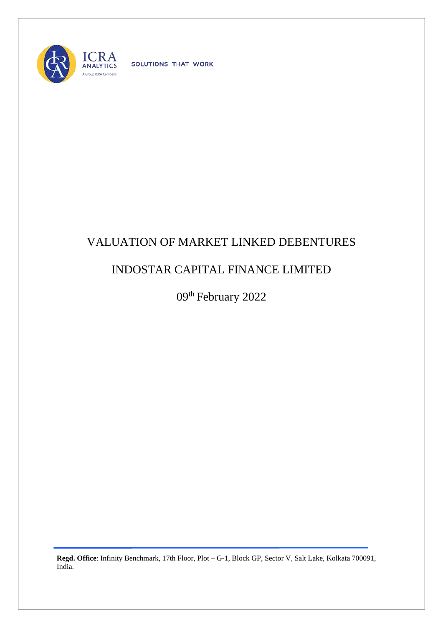

SOLUTIONS THAT WORK

## VALUATION OF MARKET LINKED DEBENTURES

## INDOSTAR CAPITAL FINANCE LIMITED

09<sup>th</sup> February 2022

**Regd. Office**: Infinity Benchmark, 17th Floor, Plot – G-1, Block GP, Sector V, Salt Lake, Kolkata 700091, India.